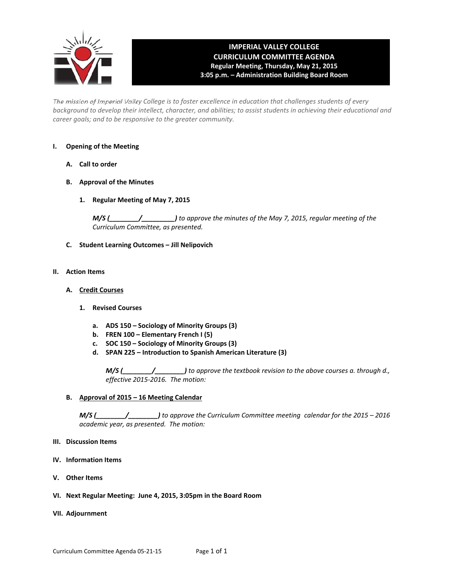

# **IMPERIAL VALLEY COLLEGE CURRICULUM COMMITTEE AGENDA Regular Meeting, Thursday, May 21, 2015 3:05 p.m. – Administration Building Board Room**

The mission of Imperial Valley College is to foster excellence in education that challenges students of every background to develop their intellect, character, and abilities; to assist students in achieving their educational and *career goals; and to be responsive to the greater community.*

#### **I. Opening of the Meeting**

- **A. Call to order**
- **B. Approval of the Minutes**
	- **1. Regular Meeting of May 7, 2015**

*M/S (\_\_\_\_\_\_\_\_/\_\_\_\_\_\_\_\_\_) to approve the minutes of the May 7, 2015, regular meeting of the Curriculum Committee, as presented.* 

**C. Student Learning Outcomes – Jill Nelipovich**

### **II. Action Items**

- **A. Credit Courses**
	- **1. Revised Courses**
		- **a. ADS 150 – Sociology of Minority Groups (3)**
		- **b. FREN 100 – Elementary French I (5)**
		- **c. SOC 150 – Sociology of Minority Groups (3)**
		- **d. SPAN 225 – Introduction to Spanish American Literature (3)**

*M/S (\_\_\_\_\_\_\_\_/\_\_\_\_\_\_\_\_) to approve the textbook revision to the above courses a. through d., effective 2015‐2016. The motion:*

#### **B. Approval of 2015 – 16 Meeting Calendar**

*M/S (\_\_\_\_\_\_\_\_/\_\_\_\_\_\_\_\_) to approve the Curriculum Committee meeting calendar for the 2015 – 2016 academic year, as presented. The motion:* 

#### **III. Discussion Items**

- **IV. Information Items**
- **V. Other Items**
- **VI. Next Regular Meeting: June 4, 2015, 3:05pm in the Board Room**
- **VII. Adjournment**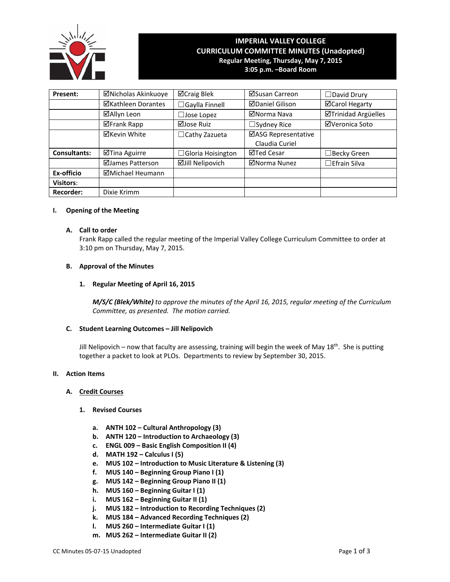

# **IMPERIAL VALLEY COLLEGE CURRICULUM COMMITTEE MINUTES (Unadopted) Regular Meeting, Thursday, May 7, 2015 3:05 p.m. –Board Room**

| Present:            | ⊠Nicholas Akinkuoye       | ⊠Craig Blek              | ⊠Susan Carreon                        | $\Box$ David Drury  |
|---------------------|---------------------------|--------------------------|---------------------------------------|---------------------|
|                     | <b>⊠Kathleen Dorantes</b> | $\Box$ Gaylla Finnell    | <b>⊠Daniel Gilison</b>                | ⊠Carol Hegarty      |
|                     | ⊠Allyn Leon               | Jose Lopez               | ⊠Norma Nava                           | ⊠Trinidad Argüelles |
|                     | <b>⊠Frank Rapp</b>        | ⊠Jose Ruiz               | $\Box$ Sydney Rice                    | ⊠Veronica Soto      |
|                     | <b>⊠Kevin White</b>       | $\Box$ Cathy Zazueta     | ⊠ASG Representative<br>Claudia Curiel |                     |
| <b>Consultants:</b> | ⊠Tina Aguirre             | $\Box$ Gloria Hoisington | ⊠Ted Cesar                            | $\Box$ Becky Green  |
|                     | ⊠James Patterson          | <b>ØJill Nelipovich</b>  | ⊠Norma Nunez                          | $\Box$ Efrain Silva |
| Ex-officio          | ⊠Michael Heumann          |                          |                                       |                     |
| <b>Visitors:</b>    |                           |                          |                                       |                     |
| <b>Recorder:</b>    | Dixie Krimm               |                          |                                       |                     |

### **I. Opening of the Meeting**

#### **A. Call to order**

Frank Rapp called the regular meeting of the Imperial Valley College Curriculum Committee to order at 3:10 pm on Thursday, May 7, 2015.

#### **B. Approval of the Minutes**

#### **1. Regular Meeting of April 16, 2015**

*M/S/C (Blek/White) to approve the minutes of the April 16, 2015, regular meeting of the Curriculum Committee, as presented. The motion carried.*

#### **C. Student Learning Outcomes – Jill Nelipovich**

Jill Nelipovich – now that faculty are assessing, training will begin the week of May 18<sup>th</sup>. She is putting together a packet to look at PLOs. Departments to review by September 30, 2015.

#### **II. Action Items**

#### **A. Credit Courses**

#### **1. Revised Courses**

- **a. ANTH 102 – Cultural Anthropology (3)**
- **b. ANTH 120 – Introduction to Archaeology (3)**
- **c. ENGL 009 – Basic English Composition II (4)**
- **d. MATH 192 – Calculus I (5)**
- **e. MUS 102 – Introduction to Music Literature & Listening (3)**
- **f. MUS 140 – Beginning Group Piano I (1)**
- **g. MUS 142 – Beginning Group Piano II (1)**
- **h. MUS 160 – Beginning Guitar I (1)**
- **i. MUS 162 – Beginning Guitar II (1)**
- **j. MUS 182 – Introduction to Recording Techniques (2)**
- **k. MUS 184 – Advanced Recording Techniques (2)**
- **l. MUS 260 – Intermediate Guitar I (1)**
- **m. MUS 262 – Intermediate Guitar II (2)**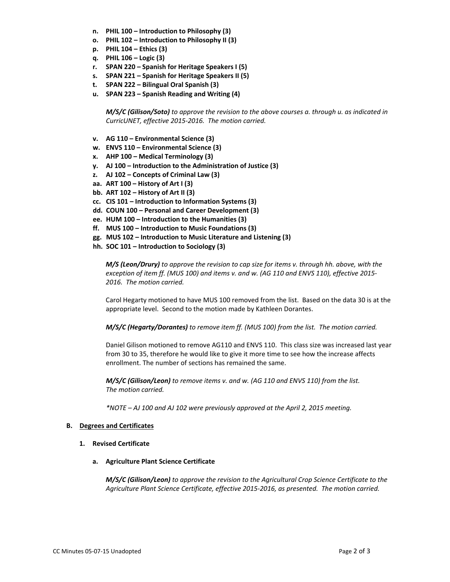- **n. PHIL 100 – Introduction to Philosophy (3)**
- **o. PHIL 102 – Introduction to Philosophy II (3)**
- **p. PHIL 104 – Ethics (3)**
- **q. PHIL 106 – Logic (3)**
- **r. SPAN 220 – Spanish for Heritage Speakers I (5)**
- **s. SPAN 221 – Spanish for Heritage Speakers II (5)**
- **t. SPAN 222 – Bilingual Oral Spanish (3)**
- **u. SPAN 223 – Spanish Reading and Writing (4)**

*M/S/C (Gilison/Soto) to approve the revision to the above courses a. through u. as indicated in CurricUNET, effective 2015‐2016. The motion carried.*

- **v. AG 110 – Environmental Science (3)**
- **w. ENVS 110 – Environmental Science (3)**
- **x. AHP 100 – Medical Terminology (3)**
- **y. AJ 100 – Introduction to the Administration of Justice (3)**
- **z. AJ 102 – Concepts of Criminal Law (3)**
- **aa. ART 100 – History of Art I (3)**
- **bb. ART 102 – History of Art II (3)**
- **cc. CIS 101 – Introduction to Information Systems (3)**
- **dd. COUN 100 – Personal and Career Development (3)**
- **ee. HUM 100 – Introduction to the Humanities (3)**
- **ff. MUS 100 – Introduction to Music Foundations (3)**
- **gg. MUS 102 – Introduction to Music Literature and Listening (3)**
- **hh. SOC 101 – Introduction to Sociology (3)**

*M/S (Leon/Drury) to approve the revision to cap size for items v. through hh. above, with the* exception of item ff. (MUS 100) and items v. and w. (AG 110 and ENVS 110), effective 2015-*2016. The motion carried.*

Carol Hegarty motioned to have MUS 100 removed from the list. Based on the data 30 is at the appropriate level. Second to the motion made by Kathleen Dorantes.

*M/S/C (Hegarty/Dorantes) to remove item ff. (MUS 100) from the list. The motion carried.*

Daniel Gilison motioned to remove AG110 and ENVS 110. This class size was increased last year from 30 to 35, therefore he would like to give it more time to see how the increase affects enrollment. The number of sections has remained the same.

*M/S/C (Gilison/Leon) to remove items v. and w. (AG 110 and ENVS 110) from the list. The motion carried.*

*\*NOTE – AJ 100 and AJ 102 were previously approved at the April 2, 2015 meeting.*

#### **B. Degrees and Certificates**

#### **1. Revised Certificate**

**a. Agriculture Plant Science Certificate**

*M/S/C (Gilison/Leon) to approve the revision to the Agricultural Crop Science Certificate to the Agriculture Plant Science Certificate, effective 2015‐2016, as presented. The motion carried.*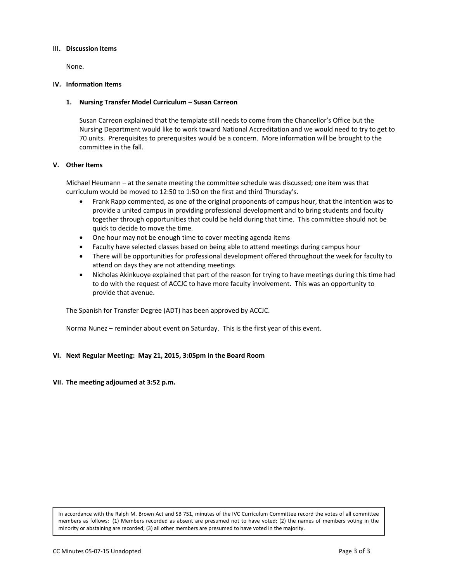#### **III. Discussion Items**

 None.

#### **IV. Information Items**

#### **1. Nursing Transfer Model Curriculum – Susan Carreon**

Susan Carreon explained that the template still needs to come from the Chancellor's Office but the Nursing Department would like to work toward National Accreditation and we would need to try to get to 70 units. Prerequisites to prerequisites would be a concern. More information will be brought to the committee in the fall.

#### **V. Other Items**

Michael Heumann – at the senate meeting the committee schedule was discussed; one item was that curriculum would be moved to 12:50 to 1:50 on the first and third Thursday's.

- Frank Rapp commented, as one of the original proponents of campus hour, that the intention was to provide a united campus in providing professional development and to bring students and faculty together through opportunities that could be held during that time. This committee should not be quick to decide to move the time.
- One hour may not be enough time to cover meeting agenda items
- Faculty have selected classes based on being able to attend meetings during campus hour
- There will be opportunities for professional development offered throughout the week for faculty to attend on days they are not attending meetings
- Nicholas Akinkuoye explained that part of the reason for trying to have meetings during this time had to do with the request of ACCJC to have more faculty involvement. This was an opportunity to provide that avenue.

The Spanish for Transfer Degree (ADT) has been approved by ACCJC.

Norma Nunez – reminder about event on Saturday. This is the first year of this event.

#### **VI. Next Regular Meeting: May 21, 2015, 3:05pm in the Board Room**

**VII. The meeting adjourned at 3:52 p.m.**

In accordance with the Ralph M. Brown Act and SB 751, minutes of the IVC Curriculum Committee record the votes of all committee members as follows: (1) Members recorded as absent are presumed not to have voted; (2) the names of members voting in the minority or abstaining are recorded; (3) all other members are presumed to have voted in the majority.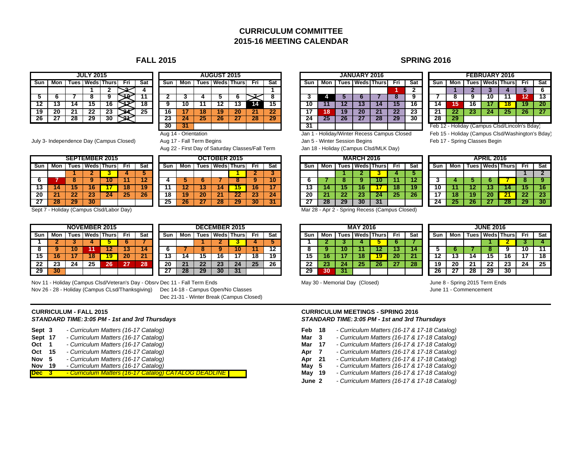# **CURRICULUM COMMITTEE2015-16 MEETING CALENDAR**

|       |     |    | <b>JULY 2015</b>    |    |     |     |          |     |    | <b>AUGUST 2015</b> |    |
|-------|-----|----|---------------------|----|-----|-----|----------|-----|----|--------------------|----|
| l Sun | Mon |    | Tues   Weds   Thurs |    | Fri | Sat | Sun      | Mon |    | Tues   Weds   Thu  |    |
|       |     |    |                     |    |     |     |          |     |    |                    |    |
|       |     |    | 8                   | 9  |     |     |          |     |    |                    | 6  |
|       | 13  |    | 15                  | 6  |     | 18  |          | 10  |    | 12                 | 13 |
| 9     | 20  |    | 22                  | 23 |     | 25  | 16       |     | 18 | 19                 | 20 |
|       |     | 28 | 29                  | 30 |     |     | 23<br>-- | --  | 23 | 26                 | 27 |

|     |       |    | <b>JULY 2015</b> |                     |     |     |         |     |    | <b>AUGUST 2015</b>  |    |     |     |     |     |    | <b>JANUARY 2016</b> |                     |     |     |             |    |
|-----|-------|----|------------------|---------------------|-----|-----|---------|-----|----|---------------------|----|-----|-----|-----|-----|----|---------------------|---------------------|-----|-----|-------------|----|
| sun | Mon I |    |                  | Tues   Weds   Thurs | Fri | Sat | Sun     | Mon |    | Tues   Weds   Thurs |    | Fri | Sat | Sun | Mon |    |                     | Tues   Weds   Thurs | Fri | Sat | Sun         | Mo |
|     |       |    |                  |                     |     |     |         |     |    |                     |    |     |     |     |     |    |                     |                     |     |     |             |    |
| b.  |       |    |                  |                     |     |     |         |     |    | w                   |    |     |     |     |     |    |                     |                     |     |     |             |    |
| 12. | w     | 14 |                  | 10                  |     | 18  |         | 1Ο  |    |                     |    |     | 15  | 10  |     |    | 15                  |                     | 13  | ם ו |             | 15 |
| 19  | 20    | 21 | 22               | 23                  |     | 25  | 16      |     | 18 | 19                  | 20 | -21 | 22  | 17  | 18' | 19 | 20                  | 21                  | 22  | 23  | ኅላ          | 22 |
| 26  | "     | 28 | 29               | 30                  | é   |     | …<br>20 | 24  | 25 | 26                  | 41 | 28  | 29  | 24  | 25  | 26 | 41                  | 28                  | 29  | 30  | 28          | 29 |
|     |       |    |                  |                     |     |     | 30      | -31 |    |                     |    |     |     | -31 |     |    |                     |                     |     |     | Feb 12 - Ho |    |

July 3- Independence Day (Campus Closed) Aug 17 - Fall Term Begins **Jan 5 - Winter Session Begins** Feb 17 - Spring Classes Begin

Aug 22 - First Day of Saturday Classes/Fall Term Jan 18 - Holiday (Campus Clsd/MLK Day)

|                                                        |    |                   |    | <b>SEPTEMBER 2015</b> |    |    |  |  |  |  |  |  |  |  |
|--------------------------------------------------------|----|-------------------|----|-----------------------|----|----|--|--|--|--|--|--|--|--|
| <b>Tues   Weds   Thurs</b><br>Sat<br>Fri<br>Mon<br>Sun |    |                   |    |                       |    |    |  |  |  |  |  |  |  |  |
|                                                        |    |                   |    |                       |    |    |  |  |  |  |  |  |  |  |
| 6                                                      |    |                   |    |                       |    | 12 |  |  |  |  |  |  |  |  |
| 13                                                     | 14 | 15                | 16 |                       | 18 | 19 |  |  |  |  |  |  |  |  |
| 20                                                     | 21 | $22 \overline{ }$ | 23 | 24                    | 25 | 26 |  |  |  |  |  |  |  |  |
| 27                                                     | 28 | 29                | 30 |                       |    |    |  |  |  |  |  |  |  |  |

|     |     |      |    | <b>NOVEMBER 2015</b> |     |     |     |     |        |    | <b>DECEMBER 2015</b> |     |     |     |
|-----|-----|------|----|----------------------|-----|-----|-----|-----|--------|----|----------------------|-----|-----|-----|
| Sun | Mon | ™ues |    | <b>Weds</b> Thurs    | Fri | Sat | Sun | Mon | ™ues l |    | <b>Weds Thurs</b>    | Fri | Sat | Suı |
|     |     |      |    |                      |     |     |     |     |        |    |                      |     |     |     |
|     |     | 0    | и  |                      | J   | 4   |     |     |        |    |                      |     |     | 8   |
| 15  | ı o |      | o  | g                    | 20  | 21  | د ا |     | 13     | 10 |                      | ı٥  | 19  | 15  |
| 22  | 23  | 24   | 25 | 26                   | 27  | 28  | 20  |     | 22     | 23 |                      | 25  | 26  | 22  |
| 29  | 30  |      |    |                      |     |     |     |     | 29     | 30 | w                    |     |     | 29  |

|     |     |    | <b>DECEMBER 2015</b>       |    |     |     |
|-----|-----|----|----------------------------|----|-----|-----|
| Sun | Mon |    | <b>Tues   Weds   Thurs</b> |    | Fri | Sat |
|     |     |    |                            |    |     |     |
| 6   |     |    |                            | 10 |     | 12  |
| 13  | 14  | 15 | 16                         | 17 | 18  | 19  |
| 20  | 21  | 22 | 23                         | 24 | 25  | 26  |
|     | 28  | 29 |                            |    |     |     |

Nov 11 - Holiday (Campus Clsd/Veteran's Day - Obsrv Dec 11 - Fall Term Ends May 30 - Memorial Day (Closed) June 8 - Spring 2015 Term Ends Nov 26 - 28 - Holiday (Campus CLsd/Thanksgiving) Dec 14-18 - Campus Open/No Classes June 11 - Commencement June 11 - Commencement

Dec 21-31 - Winter Break (Campus Closed)

# **CURRICULUM - FALL 2015**

| Sept 3     |    | - Curriculum Matters (16-17 Catalog)                         |
|------------|----|--------------------------------------------------------------|
| Sept 17    |    | - Curriculum Matters (16-17 Catalog)                         |
| Oct        |    | - Curriculum Matters (16-17 Catalog)                         |
| Oct        | 15 | - Curriculum Matters (16-17 Catalog)                         |
| Nov        | 5. | - Curriculum Matters (16-17 Catalog)                         |
| Nov        | 19 | - Curriculum Matters (16-17 Catalog)                         |
| <b>Dec</b> |    | <u>- Curriculum Matters (16-17 Catalog) CATALOG DEADLINE</u> |

## **FALL 2015 SPRING 2016**

|      |      |     |         |     |    | <b>JANUARY 2016</b> |                     |     |     |                                               |     |     |    | <b>FEBRUARY 2016</b> |                     |     |    |  |  |  |
|------|------|-----|---------|-----|----|---------------------|---------------------|-----|-----|-----------------------------------------------|-----|-----|----|----------------------|---------------------|-----|----|--|--|--|
| ursl | Fri. | Sat | Sun     | Mon |    |                     | Tues   Weds   Thurs | Fri | Sat |                                               | Sun | Mon |    |                      | Tues   Weds   Thurs | Fri | Sa |  |  |  |
|      |      |     |         |     |    |                     |                     |     |     |                                               |     |     |    |                      |                     | ю   | 6  |  |  |  |
|      |      | о   |         |     |    |                     |                     |     |     |                                               |     |     |    | 10                   |                     |     | 13 |  |  |  |
|      | 14   | 15  |         |     |    | 131                 | 14                  | 15  | 16  |                                               | 14  | ю   |    |                      |                     | 19  | 20 |  |  |  |
|      |      | 22  |         | 18  | 19 | 20                  | 21                  | 22  | 23  |                                               | 21  |     | 45 | 24                   | 25                  | 26  | 27 |  |  |  |
|      | 28   | 29  |         | 25  |    | 4                   | 28                  | 29  | 30  |                                               | 28  | 29  |    |                      |                     |     |    |  |  |  |
|      |      |     | ۰.<br>◡ |     |    |                     |                     |     |     | Feb 12 - Holiday (Campus Clsd/Lincoln's Bday) |     |     |    |                      |                     |     |    |  |  |  |

|       |     | <b>SEPTEMBER 2015</b> |     |                     |       |                 |     |       |     | OCTOBER 2015              |    |     |     |       |     | <b>MARCH 2016</b> |                           |    |     |     |     |     | APRIL 2016 |                     |     |       |
|-------|-----|-----------------------|-----|---------------------|-------|-----------------|-----|-------|-----|---------------------------|----|-----|-----|-------|-----|-------------------|---------------------------|----|-----|-----|-----|-----|------------|---------------------|-----|-------|
| 3un - | Mon |                       |     | Tues   Weds   Thurs | - Fri | Sat             | Sun | Mon l |     | Tues   Weds   Thurs   Fri |    |     | Sat | Sun l | Mon |                   | Tues   Weds   Thurs   Fri |    | Sat | Sun | Mon |     |            | Tues   Weds   Thurs | Fri | l Sat |
|       |     |                       |     |                     |       |                 |     |       |     |                           |    |     |     |       |     |                   |                           |    |     |     |     |     |            |                     |     |       |
|       |     |                       |     |                     |       |                 |     |       |     |                           |    |     | 10  |       |     |                   |                           |    |     |     |     |     |            |                     |     |       |
| 13.   | 14  |                       | 16  |                     |       |                 |     |       |     |                           |    | 16  |     | IJ    |     |                   |                           |    |     | 10. |     |     |            |                     |     | 16    |
| 20    |     | 22                    | 257 | 24                  | 25    | 26 <sub>l</sub> |     |       | 20. |                           |    | 23  | 24  | 20    |     |                   |                           | 20 | 26  |     |     |     | 20         |                     |     | -23   |
|       | 28  | 29                    | 30  |                     |       |                 | 25  |       |     | 28                        | 29 | 30. |     |       | 28  |                   | 31                        |    |     | 24  |     | 267 |            | 287                 |     | 30    |

Sept 7 - Holiday (Campus Clsd/Labor Day) **Mar 28 - Apr 2 - Spring Recess (Campus Closed)** Mar 28 - Apr 2 - Spring Recess (Campus Closed)

|      |     |    |    | <b>NOVEMBER 2015</b> |            |          |     |     |    |    | <b>DECEMBER 2015</b> |                 |     |     |     |    | <b>MAY 2016</b>        |    |       |     |     |     |       | <b>JUNE 2016</b> |                   |     |    |
|------|-----|----|----|----------------------|------------|----------|-----|-----|----|----|----------------------|-----------------|-----|-----|-----|----|------------------------|----|-------|-----|-----|-----|-------|------------------|-------------------|-----|----|
| sun. | Mon |    |    | Tues   Weds   Thurs  | <b>Fri</b> | Sat      | Sun | Mon |    |    | Tues   Weds   Thurs  | Fri             | Sat | Sun | Mon |    | <b>Tues Weds Thurs</b> |    | - Fri | Sat | Sun | Mon | Tues. |                  | <b>Weds Thurs</b> | Fri | Sa |
|      |     |    |    |                      |            |          |     |     |    |    |                      |                 |     |     |     |    |                        |    |       |     |     |     |       |                  |                   |     |    |
|      |     |    |    |                      |            |          |     |     |    |    |                      |                 |     |     |     |    |                        |    |       |     |     |     |       |                  |                   | 10  |    |
| 15   | 16. |    | 18 |                      | 20         | 21       |     |     | 15 | 16 |                      | 18              | 19  | 15  |     |    |                        |    | 20.   |     |     |     |       |                  |                   |     | 18 |
|      | 23  | 24 | 25 | 26                   |            | nn<br>20 | 20  | 21  | 22 | 23 | 24                   | 25 <sub>2</sub> | 26  | 22  |     | 24 |                        | 26 |       | 28  | 19  | 20  | 21    | າາ<br>LL         | 23                | 24  | 25 |
| 29.  | 30  |    |    |                      |            |          |     | 20  | 29 | 30 |                      |                 |     | 29  |     |    |                        |    |       |     | 26  |     | 28    | -29              | 30                |     |    |

#### **CURRICULUM MEETINGS - SPRING 2016** *STANDARD TIME:3:05 PM - 1st and 3rd Thursdays STANDARD TIME:3:05 PM - 1st and 3rd Thursdays*

- **Feb 18**  *Curriculum Matters (16-17 & 17-18 Catalog)*
- **Mar 3**  *Curriculum Matters (16-17 & 17-18 Catalog)*
- **Mar 17**  *Curriculum Matters (16-17 & 17-18 Catalog)*
- **Apr 7**  *Curriculum Matters (16-17 & 17-18 Catalog)*
- *Curriculum Matters (16-17 Catalog)* **Apr 21**  *Curriculum Matters (16-17 & 17-18 Catalog)*
- **May 5**  *Curriculum Matters (16-17 & 17-18 Catalog)*
- **May 19**  *Curriculum Matters (16-17 & 17-18 Catalog)*
- **June 2***- Curriculum Matters (16-17 & 17-18 Catalog)*

 **18 19 20 21 22 23 21 22 23 24 25 26 27** Feb 12 - Holiday (Campus Clsd/Lincoln's Bday) Aug 14 - Orientation Jan 1 - Holiday/Winter Recess Campus Closed Feb 15 - Holiday (Campus Clsd/Washington's Bday)

Fri Sat